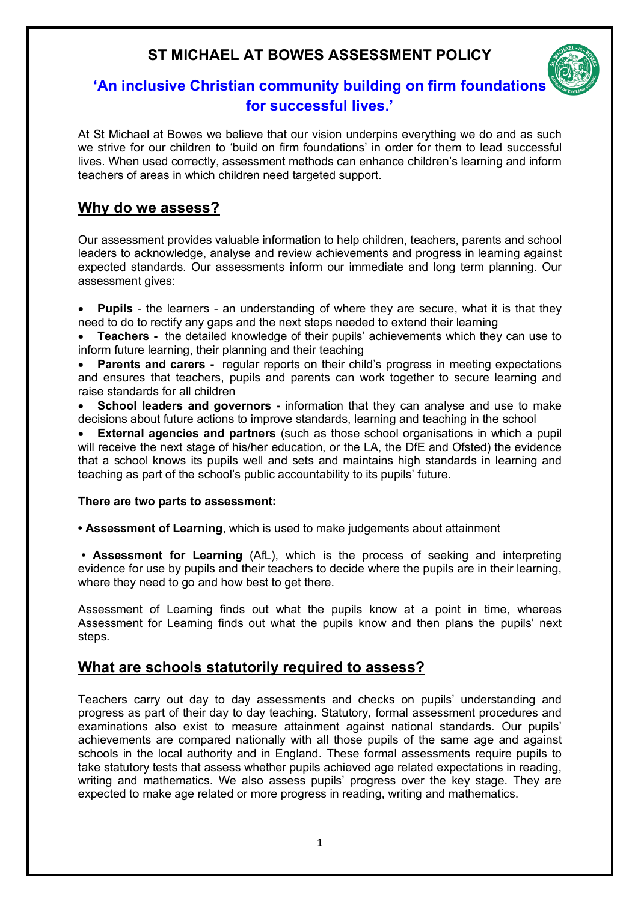# **ST MICHAEL AT BOWES ASSESSMENT POLICY**



# **'An inclusive Christian community building on firm foundations for successful lives.'**

At St Michael at Bowes we believe that our vision underpins everything we do and as such we strive for our children to 'build on firm foundations' in order for them to lead successful lives. When used correctly, assessment methods can enhance children's learning and inform teachers of areas in which children need targeted support.

# **Why do we assess?**

Our assessment provides valuable information to help children, teachers, parents and school leaders to acknowledge, analyse and review achievements and progress in learning against expected standards. Our assessments inform our immediate and long term planning. Our assessment gives:

• **Pupils** - the learners - an understanding of where they are secure, what it is that they need to do to rectify any gaps and the next steps needed to extend their learning

• **Teachers -** the detailed knowledge of their pupils' achievements which they can use to inform future learning, their planning and their teaching

**Parents and carers -** regular reports on their child's progress in meeting expectations and ensures that teachers, pupils and parents can work together to secure learning and raise standards for all children

• **School leaders and governors -** information that they can analyse and use to make decisions about future actions to improve standards, learning and teaching in the school

**External agencies and partners** (such as those school organisations in which a pupil will receive the next stage of his/her education, or the LA, the DfE and Ofsted) the evidence that a school knows its pupils well and sets and maintains high standards in learning and teaching as part of the school's public accountability to its pupils' future.

#### **There are two parts to assessment:**

**• Assessment of Learning**, which is used to make judgements about attainment

**• Assessment for Learning** (AfL), which is the process of seeking and interpreting evidence for use by pupils and their teachers to decide where the pupils are in their learning, where they need to go and how best to get there.

Assessment of Learning finds out what the pupils know at a point in time, whereas Assessment for Learning finds out what the pupils know and then plans the pupils' next steps.

# **What are schools statutorily required to assess?**

Teachers carry out day to day assessments and checks on pupils' understanding and progress as part of their day to day teaching. Statutory, formal assessment procedures and examinations also exist to measure attainment against national standards. Our pupils' achievements are compared nationally with all those pupils of the same age and against schools in the local authority and in England. These formal assessments require pupils to take statutory tests that assess whether pupils achieved age related expectations in reading, writing and mathematics. We also assess pupils' progress over the key stage. They are expected to make age related or more progress in reading, writing and mathematics.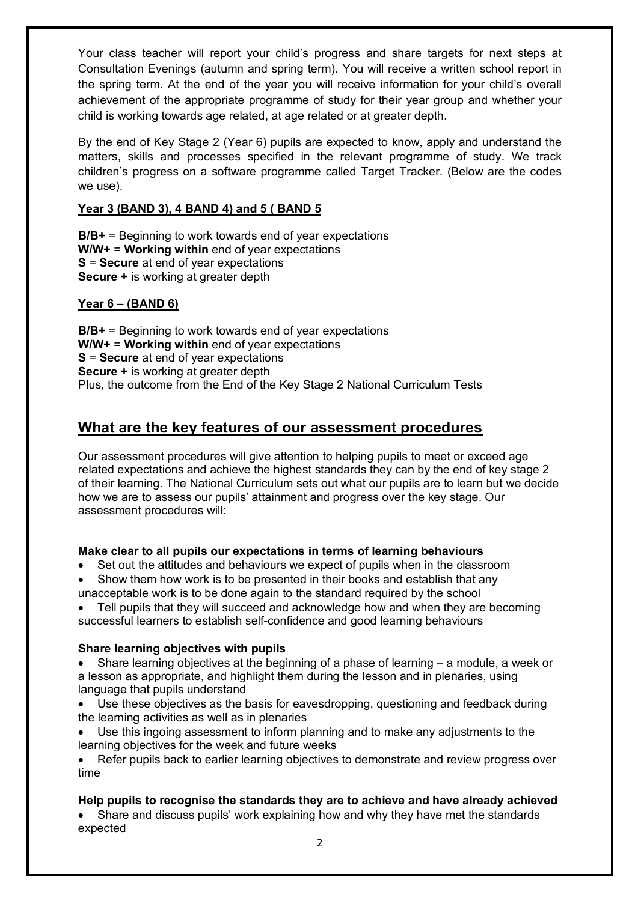Your class teacher will report your child's progress and share targets for next steps at Consultation Evenings (autumn and spring term). You will receive a written school report in the spring term. At the end of the year you will receive information for your child's overall achievement of the appropriate programme of study for their year group and whether your child is working towards age related, at age related or at greater depth.

By the end of Key Stage 2 (Year 6) pupils are expected to know, apply and understand the matters, skills and processes specified in the relevant programme of study. We track children's progress on a software programme called Target Tracker. (Below are the codes we use).

### **Year 3 (BAND 3), 4 BAND 4) and 5 ( BAND 5**

**B/B+** = Beginning to work towards end of year expectations **W/W+** = **Working within** end of year expectations **S** = **Secure** at end of year expectations **Secure +** is working at greater depth

## **Year 6 – (BAND 6)**

**B/B+** = Beginning to work towards end of year expectations **W/W+** = **Working within** end of year expectations **S** = **Secure** at end of year expectations **Secure +** is working at greater depth Plus, the outcome from the End of the Key Stage 2 National Curriculum Tests

# **What are the key features of our assessment procedures**

Our assessment procedures will give attention to helping pupils to meet or exceed age related expectations and achieve the highest standards they can by the end of key stage 2 of their learning. The National Curriculum sets out what our pupils are to learn but we decide how we are to assess our pupils' attainment and progress over the key stage. Our assessment procedures will:

### **Make clear to all pupils our expectations in terms of learning behaviours**

- Set out the attitudes and behaviours we expect of pupils when in the classroom
- Show them how work is to be presented in their books and establish that any unacceptable work is to be done again to the standard required by the school

• Tell pupils that they will succeed and acknowledge how and when they are becoming successful learners to establish self-confidence and good learning behaviours

### **Share learning objectives with pupils**

- Share learning objectives at the beginning of a phase of learning a module, a week or a lesson as appropriate, and highlight them during the lesson and in plenaries, using language that pupils understand
- Use these objectives as the basis for eavesdropping, questioning and feedback during the learning activities as well as in plenaries
- Use this ingoing assessment to inform planning and to make any adjustments to the learning objectives for the week and future weeks

• Refer pupils back to earlier learning objectives to demonstrate and review progress over time

### **Help pupils to recognise the standards they are to achieve and have already achieved**

• Share and discuss pupils' work explaining how and why they have met the standards expected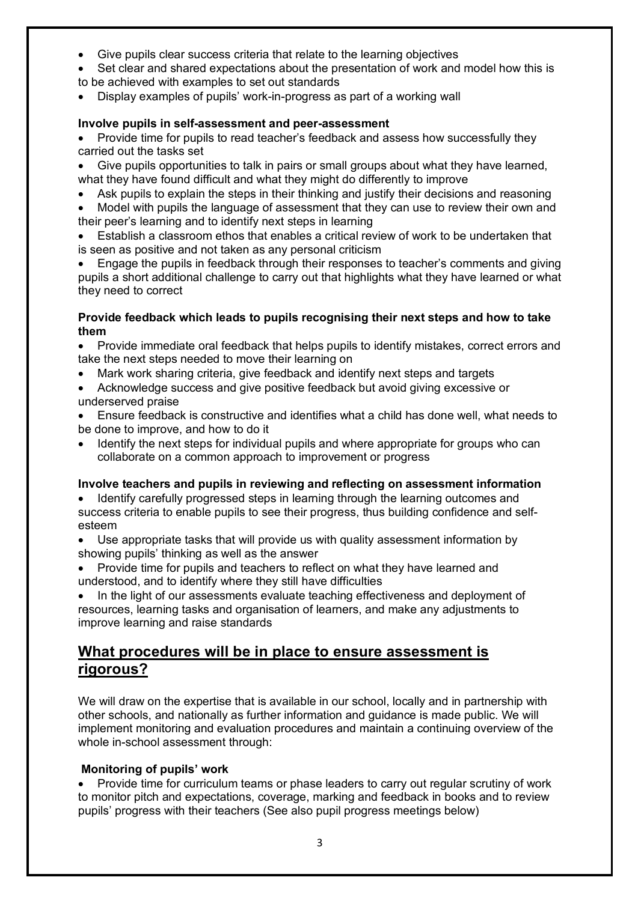- Give pupils clear success criteria that relate to the learning objectives
- Set clear and shared expectations about the presentation of work and model how this is to be achieved with examples to set out standards
- Display examples of pupils' work-in-progress as part of a working wall

#### **Involve pupils in self-assessment and peer-assessment**

- Provide time for pupils to read teacher's feedback and assess how successfully they carried out the tasks set
- Give pupils opportunities to talk in pairs or small groups about what they have learned, what they have found difficult and what they might do differently to improve
- Ask pupils to explain the steps in their thinking and justify their decisions and reasoning
- Model with pupils the language of assessment that they can use to review their own and their peer's learning and to identify next steps in learning
- Establish a classroom ethos that enables a critical review of work to be undertaken that is seen as positive and not taken as any personal criticism
- Engage the pupils in feedback through their responses to teacher's comments and giving pupils a short additional challenge to carry out that highlights what they have learned or what they need to correct

#### **Provide feedback which leads to pupils recognising their next steps and how to take them**

• Provide immediate oral feedback that helps pupils to identify mistakes, correct errors and take the next steps needed to move their learning on

- Mark work sharing criteria, give feedback and identify next steps and targets
- Acknowledge success and give positive feedback but avoid giving excessive or underserved praise
- Ensure feedback is constructive and identifies what a child has done well, what needs to be done to improve, and how to do it
- Identify the next steps for individual pupils and where appropriate for groups who can collaborate on a common approach to improvement or progress

#### **Involve teachers and pupils in reviewing and reflecting on assessment information**

- Identify carefully progressed steps in learning through the learning outcomes and success criteria to enable pupils to see their progress, thus building confidence and selfesteem
- Use appropriate tasks that will provide us with quality assessment information by showing pupils' thinking as well as the answer
- Provide time for pupils and teachers to reflect on what they have learned and understood, and to identify where they still have difficulties

In the light of our assessments evaluate teaching effectiveness and deployment of resources, learning tasks and organisation of learners, and make any adjustments to improve learning and raise standards

# **What procedures will be in place to ensure assessment is rigorous?**

We will draw on the expertise that is available in our school, locally and in partnership with other schools, and nationally as further information and guidance is made public. We will implement monitoring and evaluation procedures and maintain a continuing overview of the whole in-school assessment through:

### **Monitoring of pupils' work**

• Provide time for curriculum teams or phase leaders to carry out regular scrutiny of work to monitor pitch and expectations, coverage, marking and feedback in books and to review pupils' progress with their teachers (See also pupil progress meetings below)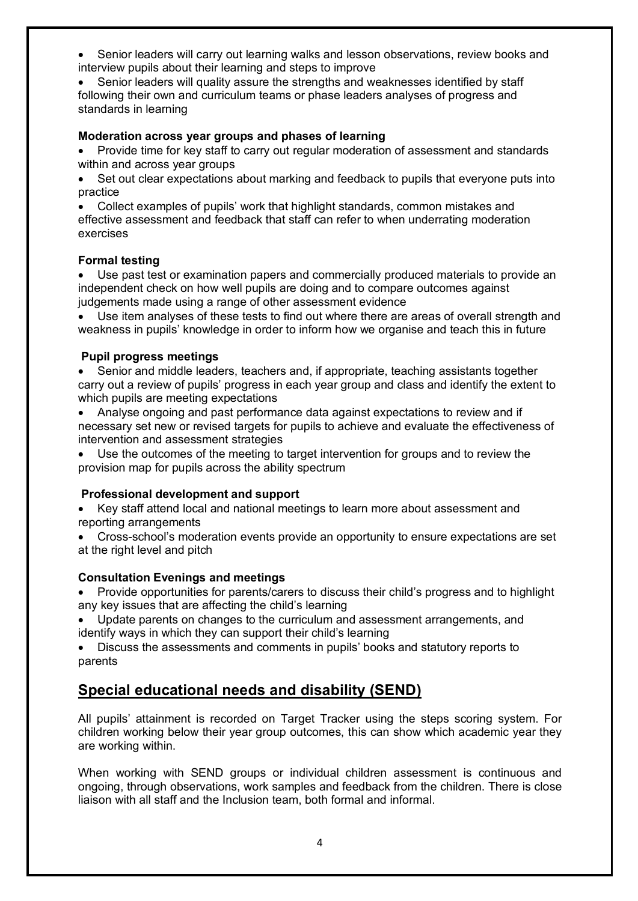• Senior leaders will carry out learning walks and lesson observations, review books and interview pupils about their learning and steps to improve

Senior leaders will quality assure the strengths and weaknesses identified by staff following their own and curriculum teams or phase leaders analyses of progress and standards in learning

#### **Moderation across year groups and phases of learning**

• Provide time for key staff to carry out regular moderation of assessment and standards within and across year groups

• Set out clear expectations about marking and feedback to pupils that everyone puts into practice

• Collect examples of pupils' work that highlight standards, common mistakes and effective assessment and feedback that staff can refer to when underrating moderation exercises

#### **Formal testing**

Use past test or examination papers and commercially produced materials to provide an independent check on how well pupils are doing and to compare outcomes against judgements made using a range of other assessment evidence

• Use item analyses of these tests to find out where there are areas of overall strength and weakness in pupils' knowledge in order to inform how we organise and teach this in future

#### **Pupil progress meetings**

• Senior and middle leaders, teachers and, if appropriate, teaching assistants together carry out a review of pupils' progress in each year group and class and identify the extent to which pupils are meeting expectations

• Analyse ongoing and past performance data against expectations to review and if necessary set new or revised targets for pupils to achieve and evaluate the effectiveness of intervention and assessment strategies

Use the outcomes of the meeting to target intervention for groups and to review the provision map for pupils across the ability spectrum

### **Professional development and support**

• Key staff attend local and national meetings to learn more about assessment and reporting arrangements

• Cross-school's moderation events provide an opportunity to ensure expectations are set at the right level and pitch

### **Consultation Evenings and meetings**

• Provide opportunities for parents/carers to discuss their child's progress and to highlight any key issues that are affecting the child's learning

• Update parents on changes to the curriculum and assessment arrangements, and identify ways in which they can support their child's learning

• Discuss the assessments and comments in pupils' books and statutory reports to parents

# **Special educational needs and disability (SEND)**

All pupils' attainment is recorded on Target Tracker using the steps scoring system. For children working below their year group outcomes, this can show which academic year they are working within.

When working with SEND groups or individual children assessment is continuous and ongoing, through observations, work samples and feedback from the children. There is close liaison with all staff and the Inclusion team, both formal and informal.